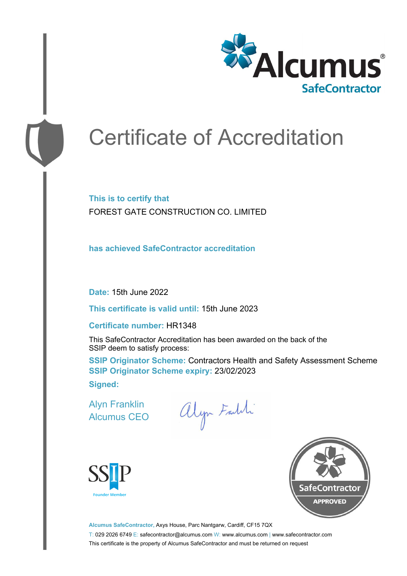

# Certificate of Accreditation

**This is to certify that** FOREST GATE CONSTRUCTION CO. LIMITED

**has achieved SafeContractor accreditation**

**Date:** 15th June 2022

**This certificate is valid until:** 15th June 2023

#### **Certificate number:** HR1348

This SafeContractor Accreditation has been awarded on the back of the SSIP deem to satisfy process:

**SSIP Originator Scheme: Contractors Health and Safety Assessment Scheme SSIP Originator Scheme expiry:** 23/02/2023 **Signed:**

Alyn Franklin Alcumus CEO

alyn Faldi





**Alcumus SafeContractor,** Axys House, Parc Nantgarw, Cardiff, CF15 7QX T: 029 2026 6749 E: safecontractor@alcumus.com W: www.alcumus.com | www.safecontractor.com This certificate is the property of Alcumus SafeContractor and must be returned on request